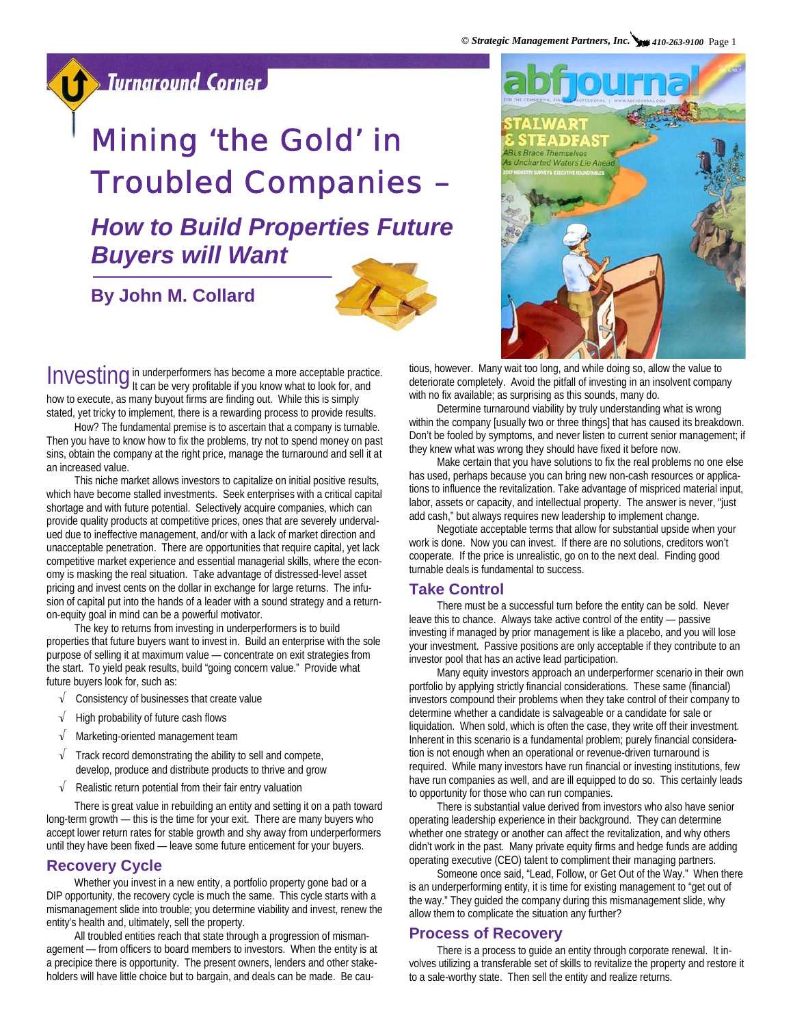### **Sturnaround Corner**

# Mining 'the Gold' in Troubled Companies –

## *How to Build Properties Future Buyers will Want*

**By John M. Collard** 





Investing in underperformers has become a more acceptable practice.<br>Investing it can be very profitable if you know what to look for, and how to execute, as many buyout firms are finding out. While this is simply stated, yet tricky to implement, there is a rewarding process to provide results.

How? The fundamental premise is to ascertain that a company is turnable. Then you have to know how to fix the problems, try not to spend money on past sins, obtain the company at the right price, manage the turnaround and sell it at an increased value.

This niche market allows investors to capitalize on initial positive results, which have become stalled investments. Seek enterprises with a critical capital shortage and with future potential. Selectively acquire companies, which can provide quality products at competitive prices, ones that are severely undervalued due to ineffective management, and/or with a lack of market direction and unacceptable penetration. There are opportunities that require capital, yet lack competitive market experience and essential managerial skills, where the economy is masking the real situation. Take advantage of distressed-level asset pricing and invest cents on the dollar in exchange for large returns. The infusion of capital put into the hands of a leader with a sound strategy and a returnon-equity goal in mind can be a powerful motivator.

The key to returns from investing in underperformers is to build properties that future buyers want to invest in. Build an enterprise with the sole purpose of selling it at maximum value — concentrate on exit strategies from the start. To yield peak results, build "going concern value." Provide what future buyers look for, such as:

- √ Consistency of businesses that create value
- √ High probability of future cash flows
- √ Marketing-oriented management team
- $\sqrt{\phantom{a}}$  Track record demonstrating the ability to sell and compete, develop, produce and distribute products to thrive and grow
- $\sqrt{\phantom{a}}$  Realistic return potential from their fair entry valuation

There is great value in rebuilding an entity and setting it on a path toward long-term growth — this is the time for your exit. There are many buyers who accept lower return rates for stable growth and shy away from underperformers until they have been fixed — leave some future enticement for your buyers.

#### **Recovery Cycle**

Whether you invest in a new entity, a portfolio property gone bad or a DIP opportunity, the recovery cycle is much the same. This cycle starts with a mismanagement slide into trouble; you determine viability and invest, renew the entity's health and, ultimately, sell the property.

All troubled entities reach that state through a progression of mismanagement — from officers to board members to investors. When the entity is at a precipice there is opportunity. The present owners, lenders and other stakeholders will have little choice but to bargain, and deals can be made. Be cautious, however. Many wait too long, and while doing so, allow the value to deteriorate completely. Avoid the pitfall of investing in an insolvent company with no fix available; as surprising as this sounds, many do.

Determine turnaround viability by truly understanding what is wrong within the company [usually two or three things] that has caused its breakdown. Don't be fooled by symptoms, and never listen to current senior management; if they knew what was wrong they should have fixed it before now.

Make certain that you have solutions to fix the real problems no one else has used, perhaps because you can bring new non-cash resources or applications to influence the revitalization. Take advantage of mispriced material input, labor, assets or capacity, and intellectual property. The answer is never, "just add cash," but always requires new leadership to implement change.

Negotiate acceptable terms that allow for substantial upside when your work is done. Now you can invest. If there are no solutions, creditors won't cooperate. If the price is unrealistic, go on to the next deal. Finding good turnable deals is fundamental to success.

#### **Take Control**

There must be a successful turn before the entity can be sold. Never leave this to chance. Always take active control of the entity — passive investing if managed by prior management is like a placebo, and you will lose your investment. Passive positions are only acceptable if they contribute to an investor pool that has an active lead participation.

Many equity investors approach an underperformer scenario in their own portfolio by applying strictly financial considerations. These same (financial) investors compound their problems when they take control of their company to determine whether a candidate is salvageable or a candidate for sale or liquidation. When sold, which is often the case, they write off their investment. Inherent in this scenario is a fundamental problem; purely financial consideration is not enough when an operational or revenue-driven turnaround is required. While many investors have run financial or investing institutions, few have run companies as well, and are ill equipped to do so. This certainly leads to opportunity for those who can run companies.

There is substantial value derived from investors who also have senior operating leadership experience in their background. They can determine whether one strategy or another can affect the revitalization, and why others didn't work in the past. Many private equity firms and hedge funds are adding operating executive (CEO) talent to compliment their managing partners.

Someone once said, "Lead, Follow, or Get Out of the Way." When there is an underperforming entity, it is time for existing management to "get out of the way." They guided the company during this mismanagement slide, why allow them to complicate the situation any further?

#### **Process of Recovery**

There is a process to guide an entity through corporate renewal. It involves utilizing a transferable set of skills to revitalize the property and restore it to a sale-worthy state. Then sell the entity and realize returns.